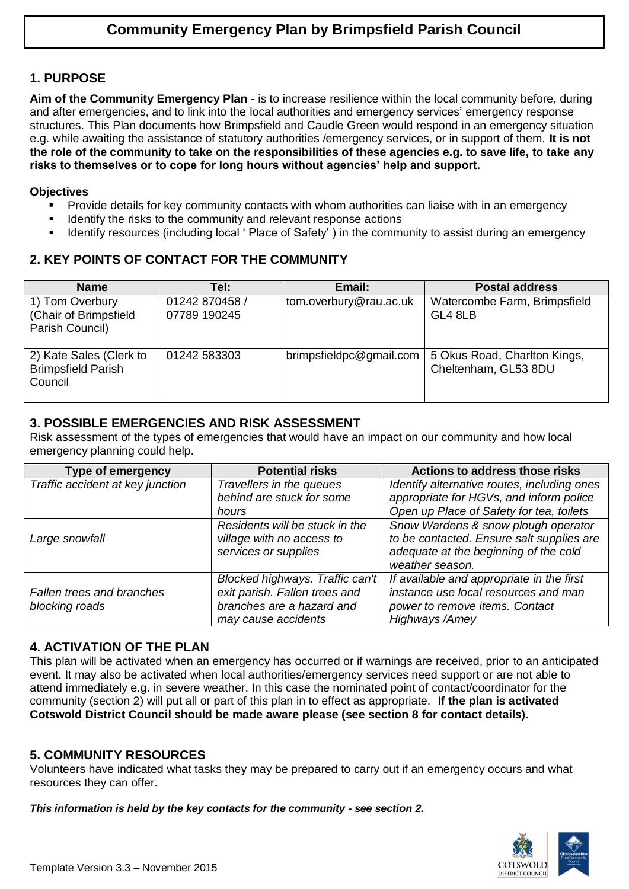## **1. PURPOSE**

**Aim of the Community Emergency Plan** - is to increase resilience within the local community before, during and after emergencies, and to link into the local authorities and emergency services' emergency response structures. This Plan documents how Brimpsfield and Caudle Green would respond in an emergency situation e.g. while awaiting the assistance of statutory authorities /emergency services, or in support of them. **It is not the role of the community to take on the responsibilities of these agencies e.g. to save life, to take any risks to themselves or to cope for long hours without agencies' help and support.**

#### **Objectives**

- **Provide details for key community contacts with whom authorities can liaise with in an emergency**
- Identify the risks to the community and relevant response actions
- **IDENTIFY 11** Identify resources (including local ' Place of Safety') in the community to assist during an emergency

## **2. KEY POINTS OF CONTACT FOR THE COMMUNITY**

| <b>Name</b>                                                     | Tel: \                         | Email:                  | <b>Postal address</b>                                |
|-----------------------------------------------------------------|--------------------------------|-------------------------|------------------------------------------------------|
| 1) Tom Overbury<br>(Chair of Brimpsfield<br>Parish Council)     | 01242 870458 /<br>07789 190245 | tom.overbury@rau.ac.uk  | Watercombe Farm, Brimpsfield<br>GL4 8LB              |
| 2) Kate Sales (Clerk to<br><b>Brimpsfield Parish</b><br>Council | 01242 583303                   | brimpsfieldpc@gmail.com | 5 Okus Road, Charlton Kings,<br>Cheltenham, GL53 8DU |

### **3. POSSIBLE EMERGENCIES AND RISK ASSESSMENT**

Risk assessment of the types of emergencies that would have an impact on our community and how local emergency planning could help.

| <b>Type of emergency</b>         | <b>Potential risks</b>          | <b>Actions to address those risks</b>       |
|----------------------------------|---------------------------------|---------------------------------------------|
| Traffic accident at key junction | Travellers in the queues        | Identify alternative routes, including ones |
|                                  | behind are stuck for some       | appropriate for HGVs, and inform police     |
|                                  | hours                           | Open up Place of Safety for tea, toilets    |
|                                  | Residents will be stuck in the  | Snow Wardens & snow plough operator         |
| Large snowfall                   | village with no access to       | to be contacted. Ensure salt supplies are   |
|                                  | services or supplies            | adequate at the beginning of the cold       |
|                                  |                                 | weather season.                             |
|                                  | Blocked highways. Traffic can't | If available and appropriate in the first   |
| Fallen trees and branches        | exit parish. Fallen trees and   | instance use local resources and man        |
| blocking roads                   | branches are a hazard and       | power to remove items. Contact              |
|                                  | may cause accidents             | Highways /Amey                              |

## **4. ACTIVATION OF THE PLAN**

This plan will be activated when an emergency has occurred or if warnings are received, prior to an anticipated event. It may also be activated when local authorities/emergency services need support or are not able to attend immediately e.g. in severe weather. In this case the nominated point of contact/coordinator for the community (section 2) will put all or part of this plan in to effect as appropriate. **If the plan is activated Cotswold District Council should be made aware please (see section 8 for contact details).**

### **5. COMMUNITY RESOURCES**

Volunteers have indicated what tasks they may be prepared to carry out if an emergency occurs and what resources they can offer.

*This information is held by the key contacts for the community - see section 2.*

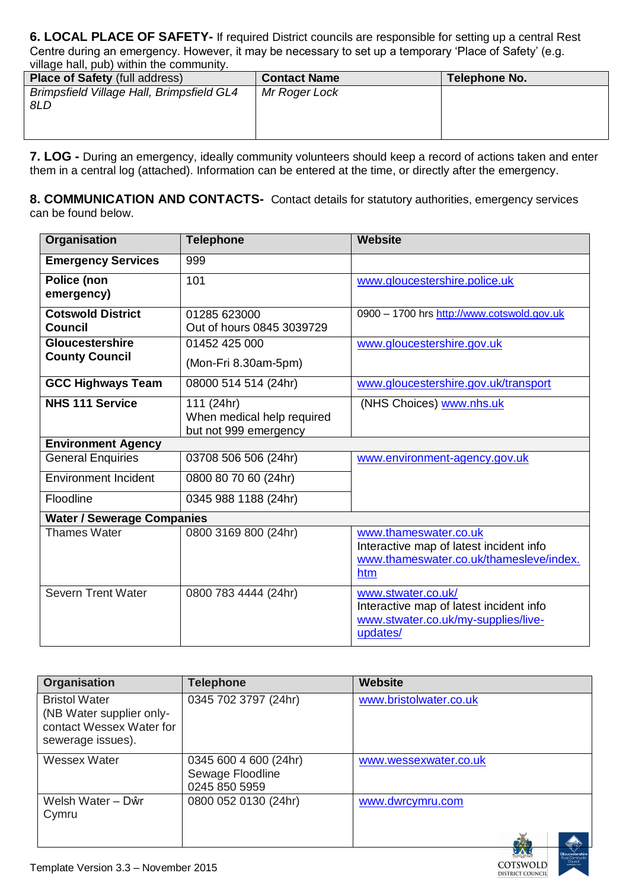**6. LOCAL PLACE OF SAFETY-** If required District councils are responsible for setting up a central Rest Centre during an emergency. However, it may be necessary to set up a temporary 'Place of Safety' (e.g. village hall, pub) within the community.

| <b>Place of Safety (full address)</b>            | <b>Contact Name</b> | Telephone No. |
|--------------------------------------------------|---------------------|---------------|
| Brimpsfield Village Hall, Brimpsfield GL4<br>8LD | Mr Roger Lock       |               |

**7. LOG -** During an emergency, ideally community volunteers should keep a record of actions taken and enter them in a central log (attached). Information can be entered at the time, or directly after the emergency.

**8. COMMUNICATION AND CONTACTS-** Contact details for statutory authorities, emergency services can be found below.

| Organisation                                    | <b>Telephone</b>                                                  | <b>Website</b>                                                                                                     |  |
|-------------------------------------------------|-------------------------------------------------------------------|--------------------------------------------------------------------------------------------------------------------|--|
| <b>Emergency Services</b>                       | 999                                                               |                                                                                                                    |  |
| Police (non<br>emergency)                       | 101                                                               | www.gloucestershire.police.uk                                                                                      |  |
| <b>Cotswold District</b><br><b>Council</b>      | 01285 623000<br>Out of hours 0845 3039729                         | 0900 - 1700 hrs http://www.cotswold.gov.uk                                                                         |  |
| <b>Gloucestershire</b><br><b>County Council</b> | 01452 425 000<br>(Mon-Fri 8.30am-5pm)                             | www.gloucestershire.gov.uk                                                                                         |  |
| <b>GCC Highways Team</b>                        | 08000 514 514 (24hr)                                              | www.gloucestershire.gov.uk/transport                                                                               |  |
| <b>NHS 111 Service</b>                          | 111 (24hr)<br>When medical help required<br>but not 999 emergency | (NHS Choices) www.nhs.uk                                                                                           |  |
| <b>Environment Agency</b>                       |                                                                   |                                                                                                                    |  |
| <b>General Enquiries</b>                        | 03708 506 506 (24hr)                                              | www.environment-agency.gov.uk                                                                                      |  |
| <b>Environment Incident</b>                     | 0800 80 70 60 (24hr)                                              |                                                                                                                    |  |
| Floodline                                       | 0345 988 1188 (24hr)                                              |                                                                                                                    |  |
| <b>Water / Sewerage Companies</b>               |                                                                   |                                                                                                                    |  |
| <b>Thames Water</b>                             | 0800 3169 800 (24hr)                                              | www.thameswater.co.uk<br>Interactive map of latest incident info<br>www.thameswater.co.uk/thamesleve/index.<br>htm |  |
| <b>Severn Trent Water</b>                       | 0800 783 4444 (24hr)                                              | www.stwater.co.uk/<br>Interactive map of latest incident info<br>www.stwater.co.uk/my-supplies/live-<br>updates/   |  |

| <b>Organisation</b>                                                                               | <b>Telephone</b>                                           | <b>Website</b>         |
|---------------------------------------------------------------------------------------------------|------------------------------------------------------------|------------------------|
| <b>Bristol Water</b><br>(NB Water supplier only-<br>contact Wessex Water for<br>sewerage issues). | 0345 702 3797 (24hr)                                       | www.bristolwater.co.uk |
| Wessex Water                                                                                      | 0345 600 4 600 (24hr)<br>Sewage Floodline<br>0245 850 5959 | www.wessexwater.co.uk  |
| Welsh Water - Dŵr<br>Cymru                                                                        | 0800 052 0130 (24hr)                                       | www.dwrcymru.com       |

COTSWOLD **DISTRICT COUNCIL**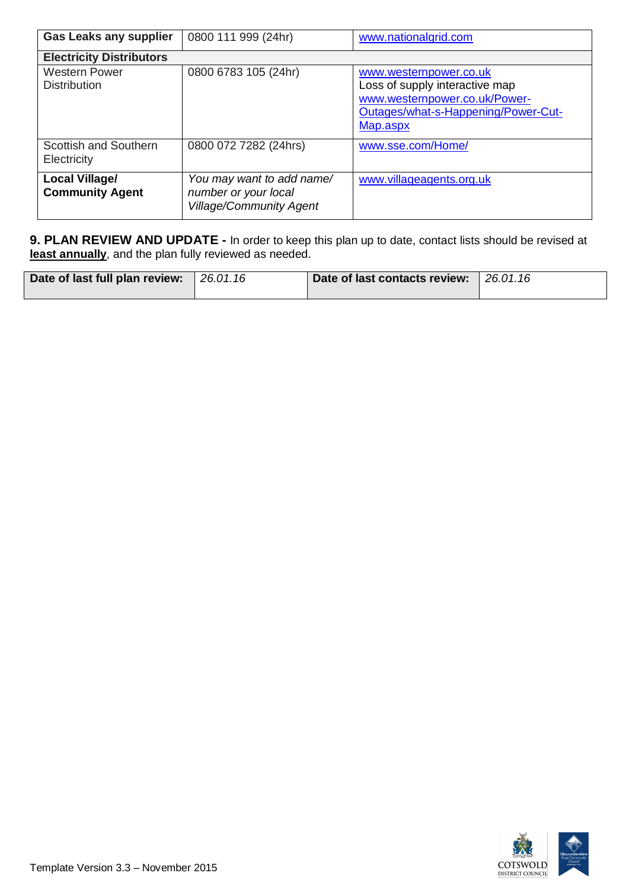| <b>Gas Leaks any supplier</b>               | 0800 111 999 (24hr)                                                                 | www.nationalgrid.com                                                                                                                         |
|---------------------------------------------|-------------------------------------------------------------------------------------|----------------------------------------------------------------------------------------------------------------------------------------------|
| <b>Electricity Distributors</b>             |                                                                                     |                                                                                                                                              |
| <b>Western Power</b><br><b>Distribution</b> | 0800 6783 105 (24hr)                                                                | www.westernpower.co.uk<br>Loss of supply interactive map<br>www.westernpower.co.uk/Power-<br>Outages/what-s-Happening/Power-Cut-<br>Map.aspx |
| Scottish and Southern<br>Electricity        | 0800 072 7282 (24hrs)                                                               | www.sse.com/Home/                                                                                                                            |
| Local Village/<br><b>Community Agent</b>    | You may want to add name/<br>number or your local<br><b>Village/Community Agent</b> | www.villageagents.org.uk                                                                                                                     |

**9. PLAN REVIEW AND UPDATE -** In order to keep this plan up to date, contact lists should be revised at **least annually**, and the plan fully reviewed as needed.

| Date of last full plan review: | 126.01.16 | Date of last contacts review: 26.01.16 |  |
|--------------------------------|-----------|----------------------------------------|--|
|--------------------------------|-----------|----------------------------------------|--|